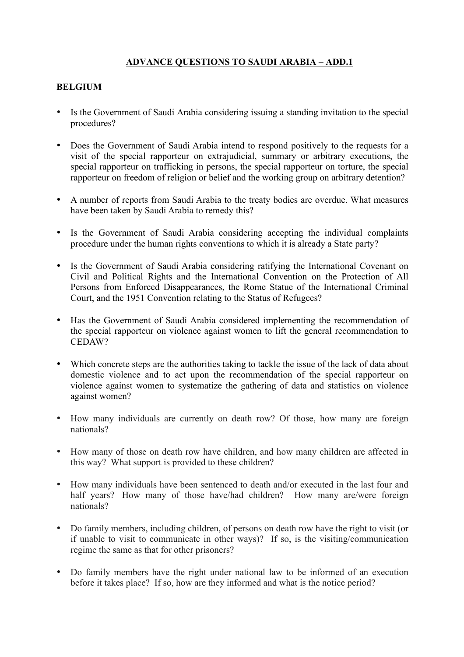## **ADVANCE QUESTIONS TO SAUDI ARABIA – ADD.1**

## **BELGIUM**

- Is the Government of Saudi Arabia considering issuing a standing invitation to the special procedures?
- Does the Government of Saudi Arabia intend to respond positively to the requests for a visit of the special rapporteur on extrajudicial, summary or arbitrary executions, the special rapporteur on trafficking in persons, the special rapporteur on torture, the special rapporteur on freedom of religion or belief and the working group on arbitrary detention?
- A number of reports from Saudi Arabia to the treaty bodies are overdue. What measures have been taken by Saudi Arabia to remedy this?
- Is the Government of Saudi Arabia considering accepting the individual complaints procedure under the human rights conventions to which it is already a State party?
- Is the Government of Saudi Arabia considering ratifying the International Covenant on Civil and Political Rights and the International Convention on the Protection of All Persons from Enforced Disappearances, the Rome Statue of the International Criminal Court, and the 1951 Convention relating to the Status of Refugees?
- Has the Government of Saudi Arabia considered implementing the recommendation of the special rapporteur on violence against women to lift the general recommendation to CEDAW?
- Which concrete steps are the authorities taking to tackle the issue of the lack of data about domestic violence and to act upon the recommendation of the special rapporteur on violence against women to systematize the gathering of data and statistics on violence against women?
- How many individuals are currently on death row? Of those, how many are foreign nationals?
- How many of those on death row have children, and how many children are affected in this way? What support is provided to these children?
- How many individuals have been sentenced to death and/or executed in the last four and half years? How many of those have/had children? How many are/were foreign nationals?
- Do family members, including children, of persons on death row have the right to visit (or if unable to visit to communicate in other ways)? If so, is the visiting/communication regime the same as that for other prisoners?
- Do family members have the right under national law to be informed of an execution before it takes place? If so, how are they informed and what is the notice period?